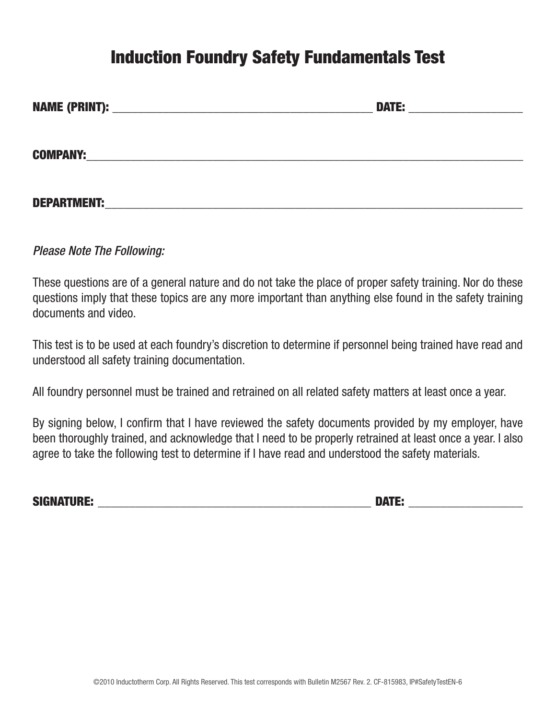## Induction Foundry Safety Fundamentals Test

|                    | <b>DATE:</b> |
|--------------------|--------------|
|                    |              |
| <b>COMPANY:</b>    |              |
|                    |              |
| <b>DEPARTMENT:</b> |              |

*Please Note The Following:* 

These questions are of a general nature and do not take the place of proper safety training. Nor do these questions imply that these topics are any more important than anything else found in the safety training documents and video.

This test is to be used at each foundry's discretion to determine if personnel being trained have read and understood all safety training documentation.

All foundry personnel must be trained and retrained on all related safety matters at least once a year.

By signing below, I confirm that I have reviewed the safety documents provided by my employer, have been thoroughly trained, and acknowledge that I need to be properly retrained at least once a year. I also agree to take the following test to determine if I have read and understood the safety materials.

SIGNATURE: \_\_\_\_\_\_\_\_\_\_\_\_\_\_\_\_\_\_\_\_\_\_\_\_\_\_\_\_\_\_\_\_\_\_\_\_\_\_\_\_\_\_\_ DATE: \_\_\_\_\_\_\_\_\_\_\_\_\_\_\_\_\_\_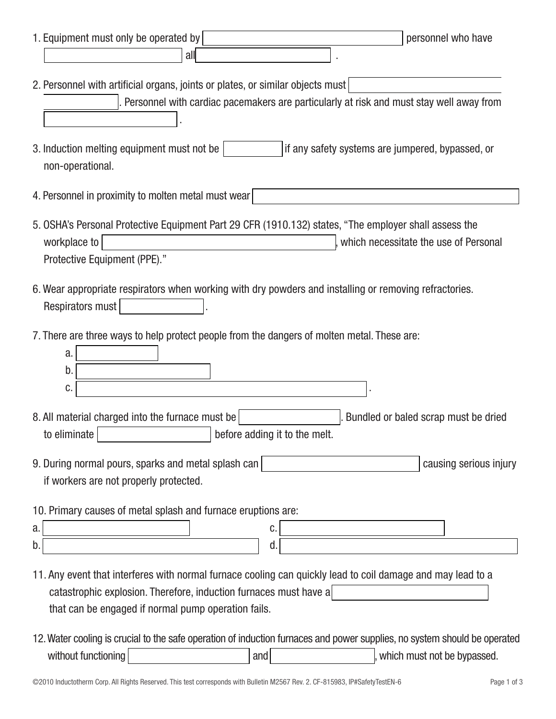| 1. Equipment must only be operated by<br>personnel who have                                                                                                                                                                             |
|-----------------------------------------------------------------------------------------------------------------------------------------------------------------------------------------------------------------------------------------|
| all                                                                                                                                                                                                                                     |
| 2. Personnel with artificial organs, joints or plates, or similar objects must<br>Personnel with cardiac pacemakers are particularly at risk and must stay well away from                                                               |
| if any safety systems are jumpered, bypassed, or<br>3. Induction melting equipment must not be<br>non-operational.                                                                                                                      |
| 4. Personnel in proximity to molten metal must wear                                                                                                                                                                                     |
| 5. OSHA's Personal Protective Equipment Part 29 CFR (1910.132) states, "The employer shall assess the<br>workplace to<br>which necessitate the use of Personal<br>Protective Equipment (PPE)."                                          |
| 6. Wear appropriate respirators when working with dry powders and installing or removing refractories.<br>Respirators must                                                                                                              |
| 7. There are three ways to help protect people from the dangers of molten metal. These are:<br>a.<br>b.<br>C.                                                                                                                           |
| 8. All material charged into the furnace must be<br>Bundled or baled scrap must be dried<br>to eliminate<br>before adding it to the melt.                                                                                               |
| 9. During normal pours, sparks and metal splash can<br>causing serious injury<br>if workers are not properly protected.                                                                                                                 |
| 10. Primary causes of metal splash and furnace eruptions are:<br>C.<br>a.<br>d.<br>b.                                                                                                                                                   |
| 11. Any event that interferes with normal furnace cooling can quickly lead to coil damage and may lead to a<br>catastrophic explosion. Therefore, induction furnaces must have a<br>that can be engaged if normal pump operation fails. |
| 12. Water cooling is crucial to the safe operation of induction furnaces and power supplies, no system should be operated<br>without functioning<br>, which must not be bypassed.<br>and                                                |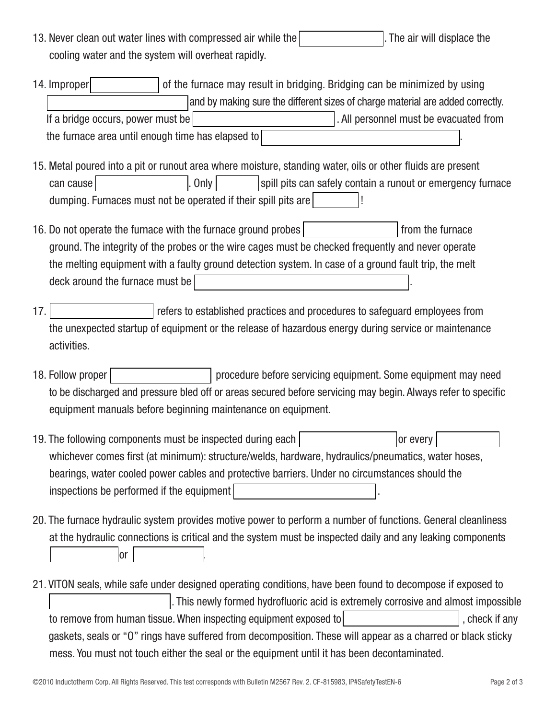- 13. Never clean out water lines with compressed air while the **power is on the power is on the power is on** . The air will displace the cooling water and the system will overheat rapidly.
- 14. Improper **charging of the furnace may result in bridging. Bridging can be minimized by using** and by making sure the different sizes of charge material are added correctly. If a bridge occurs, power must be turned off immediately . All personnel must be evacuated from the furnace area until enough time has elapsed to
- 15. Metal poured into a pit or runout area where moisture, standing water, oils or other fluids are present can cause | with an explosion . Only | spill pits can safely contain a runout or emergency furnace dumping. Furnaces must not be operated if their spill pits are  $\vert$   $\vert$   $\vert$
- 16. Do not operate the furnace with the furnace ground probes  $\vert$  second from the furnace ground. The integrity of the probes or the wire cages must be checked frequently and never operate the melting equipment with a faulty ground detection system. In case of a ground fault trip, the melt deck around the furnace must be
- 17. Example 17. Example 17. Lockow refers to established practices and procedures to safeguard employees from the unexpected startup of equipment or the release of hazardous energy during service or maintenance activities.
- 18. Follow proper | some procedure before servicing equipment. Some equipment may need to be discharged and pressure bled off or areas secured before servicing may begin. Always refer to specific equipment manuals before beginning maintenance on equipment.
- 19. The following components must be inspected during each  $\vert$  and the or every  $\vert$  or every whichever comes first (at minimum): structure/welds, hardware, hydraulics/pneumatics, water hoses, bearings, water cooled power cables and protective barriers. Under no circumstances should the  $inspections$  be performed if the equipment
- 20. The furnace hydraulic system provides motive power to perform a number of functions. General cleanliness at the hydraulic connections is critical and the system must be inspected daily and any leaking components  $\vert$  replaced to  $\vert$  or  $\vert$  . The set of  $\vert$
- 21. VITON seals, while safe under designed operating conditions, have been found to decompose if exposed to . This newly formed hydrofluoric acid is extremely corrosive and almost impossible to remove from human tissue. When inspecting equipment exposed to high temperature and high temperature and high temperature and high temperature and high temperature and high temperature and high temperature and high temp gaskets, seals or "O" rings have suffered from decomposition. These will appear as a charred or black sticky mess. You must not touch either the seal or the equipment until it has been decontaminated.